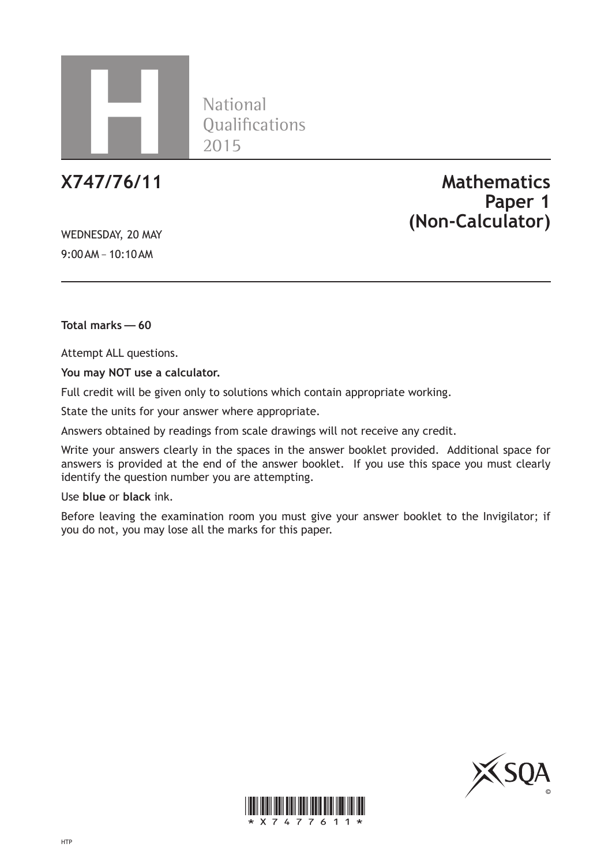

**National** Oualifications 2015

WEDNESDAY, 20 MAY 9:00AM – 10:10AM

**X747/76/11 Mathematics Paper 1 (Non-Calculator)**

**Total marks—60**

Attempt ALL questions.

**You may NOT use a calculator.**

Full credit will be given only to solutions which contain appropriate working.

State the units for your answer where appropriate.

Answers obtained by readings from scale drawings will not receive any credit.

Write your answers clearly in the spaces in the answer booklet provided. Additional space for answers is provided at the end of the answer booklet. If you use this space you must clearly identify the question number you are attempting.

Use **blue** or **black** ink.

Before leaving the examination room you must give your answer booklet to the Invigilator; if you do not, you may lose all the marks for this paper.



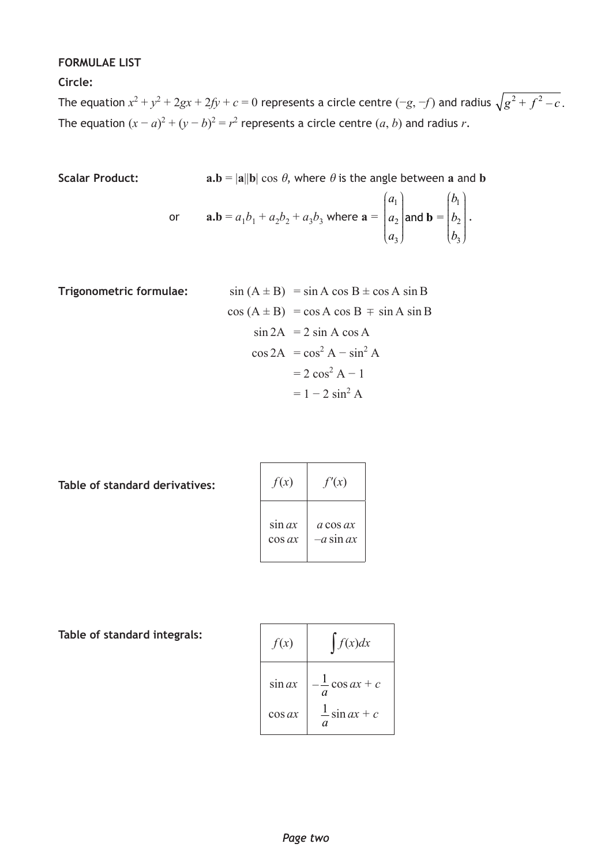## **FORMULAE LIST**

**Circle:**

The equation  $x^2 + y^2 + 2gx + 2fy + c = 0$  represents a circle centre  $(-g, -f)$  and radius  $\sqrt{g^2 + f^2 - c}$  . The equation  $(x - a)^2 + (y - b)^2 = r^2$  represents a circle centre  $(a, b)$  and radius *r*.

Scalar Product: 
$$
\mathbf{a}.\mathbf{b} = |\mathbf{a}||\mathbf{b}| \cos \theta
$$
, where  $\theta$  is the angle between **a** and **b**

or 
$$
\mathbf{a}.\mathbf{b} = a_1b_1 + a_2b_2 + a_3b_3
$$
 where  $\mathbf{a} = \begin{pmatrix} a_1 \\ a_2 \\ a_3 \end{pmatrix}$  and  $\mathbf{b} = \begin{pmatrix} b_1 \\ b_2 \\ b_3 \end{pmatrix}$ .

**Trigonometric formulae:**  
\n
$$
\sin (A \pm B) = \sin A \cos B \pm \cos A \sin B
$$
\n
$$
\cos (A \pm B) = \cos A \cos B \mp \sin A \sin B
$$
\n
$$
\sin 2A = 2 \sin A \cos A
$$
\n
$$
\cos 2A = \cos^2 A - \sin^2 A
$$
\n
$$
= 2 \cos^2 A - 1
$$
\n
$$
= 1 - 2 \sin^2 A
$$

**Table of standard derivatives:**

| f(x)      | f'(x)                   |
|-----------|-------------------------|
| sin ax    | a cos ax                |
| $\cos ax$ | <i>-a</i> sin <i>ax</i> |

**Table of standard integrals:**

| f(x)      | f(x)dx                                      |
|-----------|---------------------------------------------|
| sin ax    | $-\frac{1}{\cos ax} + c$<br>$\alpha$        |
| $\cos ax$ | $\frac{1}{\sin ax} + c$<br>$\boldsymbol{a}$ |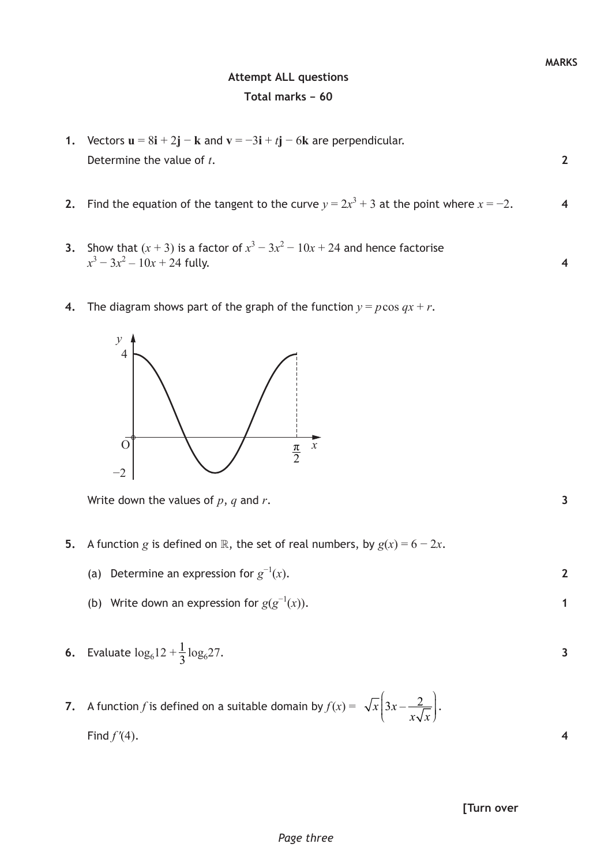## **Attempt ALL questions Total marks – 60**

**2**

**4**

- **1.** Vectors  $\mathbf{u} = 8\mathbf{i} + 2\mathbf{j} \mathbf{k}$  and  $\mathbf{v} = -3\mathbf{i} + t\mathbf{j} 6\mathbf{k}$  are perpendicular. Determine the value of *t*.
- **2.** Find the equation of the tangent to the curve  $y = 2x^3 + 3$  at the point where  $x = -2$ . **4**
- **3.** Show that  $(x + 3)$  is a factor of  $x^3 3x^2 10x + 24$  and hence factorise  $x^3 - 3x^2 - 10x + 24$  fully.
- **4.** The diagram shows part of the graph of the function  $y = p \cos qx + r$ .



Write down the values of *p*, *q* and *r*.

- **5.** A function *g* is defined on  $\mathbb{R}$ , the set of real numbers, by  $g(x) = 6 2x$ .
	- (a) Determine an expression for  $g^{-1}(x)$ .
	- (b) Write down an expression for  $g(g^{-1}(x))$ .
- **6.** Evaluate  $\log_6 12 + \frac{1}{3} \log_6 27$ .
- **7.** A function *f* is defined on a suitable domain by  $f(x) = \sqrt{x}$   $3x \frac{2}{x}$  $x\sqrt{x}$  $\left(3x-\frac{2}{x\sqrt{x}}\right).$ Find  $f'(4)$ .

| [Turn over |  |
|------------|--|

*Page three*

**2**

**1**

**3**

**4**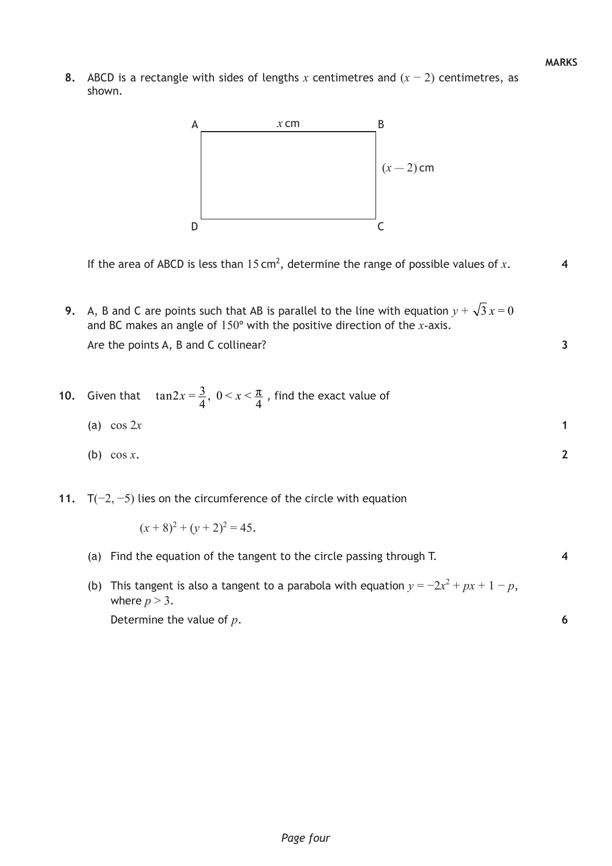**3**

**2**

**4**

**6**

**8.** ABCD is a rectangle with sides of lengths *x* centimetres and (*x* − 2) centimetres, as shown.



If the area of ABCD is less than  $15 \text{ cm}^2$ , determine the range of possible values of x.

**9.** A, B and C are points such that AB is parallel to the line with equation  $y + \sqrt{3} x = 0$ and BC makes an angle of 150º with the positive direction of the *x*-axis. Are the points A, B and C collinear?

**10.** Given that 
$$
\tan 2x = \frac{3}{4}
$$
,  $0 < x < \frac{\pi}{4}$ , find the exact value of

$$
(a) \cos 2x \tag{1}
$$

- (b) cos *x*.
- **11.** T(−2, −5) lies on the circumference of the circle with equation

$$
(x+8)^2 + (y+2)^2 = 45.
$$

- (a) Find the equation of the tangent to the circle passing through T.
- (b) This tangent is also a tangent to a parabola with equation  $y = -2x^2 + px + 1 p$ , where  $p > 3$ .

Determine the value of *p*.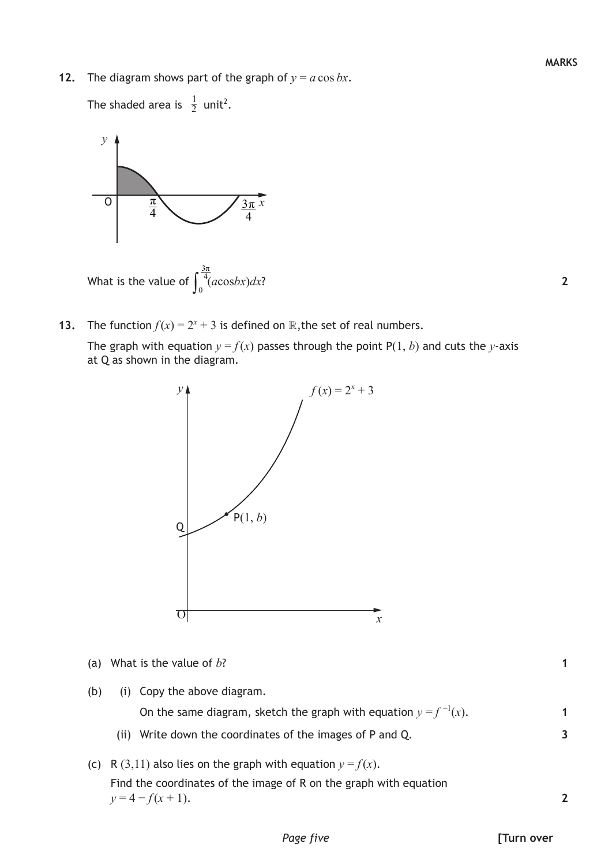**12.** The diagram shows part of the graph of  $y = a \cos bx$ .

The shaded area is  $\frac{1}{2}$  unit<sup>2</sup>.



**13.** The function  $f(x) = 2^x + 3$  is defined on R, the set of real numbers.

The graph with equation  $y = f(x)$  passes through the point  $P(1, b)$  and cuts the *y*-axis at Q as shown in the diagram.



- (a) What is the value of *b*?
- (b) (i) Copy the above diagram.

On the same diagram, sketch the graph with equation  $y = f^{-1}(x)$ .

- (ii) Write down the coordinates of the images of P and Q.
- (c) R (3,11) also lies on the graph with equation  $y = f(x)$ . Find the coordinates of the image of R on the graph with equation  $y = 4 - f(x + 1)$ .

**1**

**1**

**3**

**2**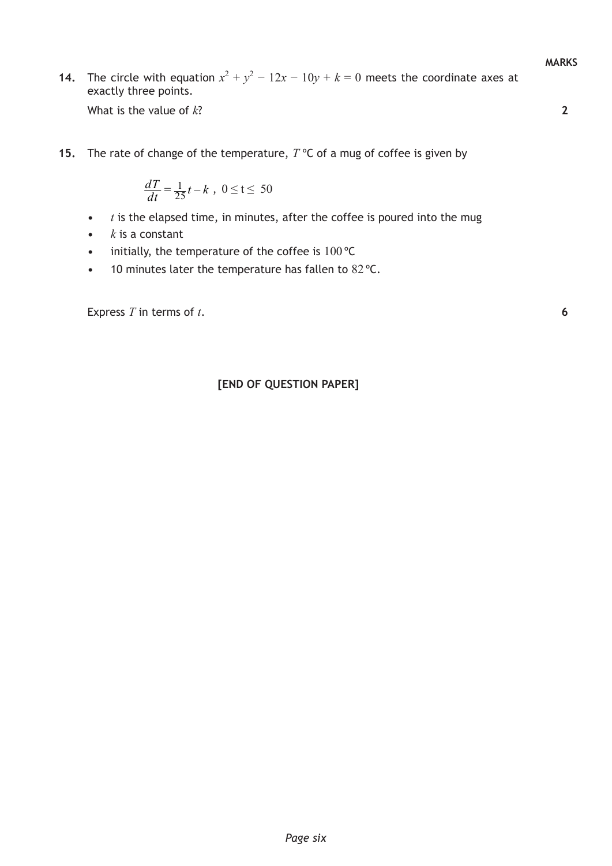**MARKS**

**2**

**6**

**14.** The circle with equation  $x^2 + y^2 - 12x - 10y + k = 0$  meets the coordinate axes at exactly three points.

What is the value of *k*?

**15.** The rate of change of the temperature, *T* ºC of a mug of coffee is given by

$$
\frac{dT}{dt} = \frac{1}{25}t - k \ , \ 0 \le t \le 50
$$

- **•**  *t* is the elapsed time, in minutes, after the coffee is poured into the mug
- **•**  *k* is a constant
- initially, the temperature of the coffee is 100 °C
- **•**  10 minutes later the temperature has fallen to 82 ºC.

Express *T* in terms of *t*.

### **[END OF QUESTION PAPER]**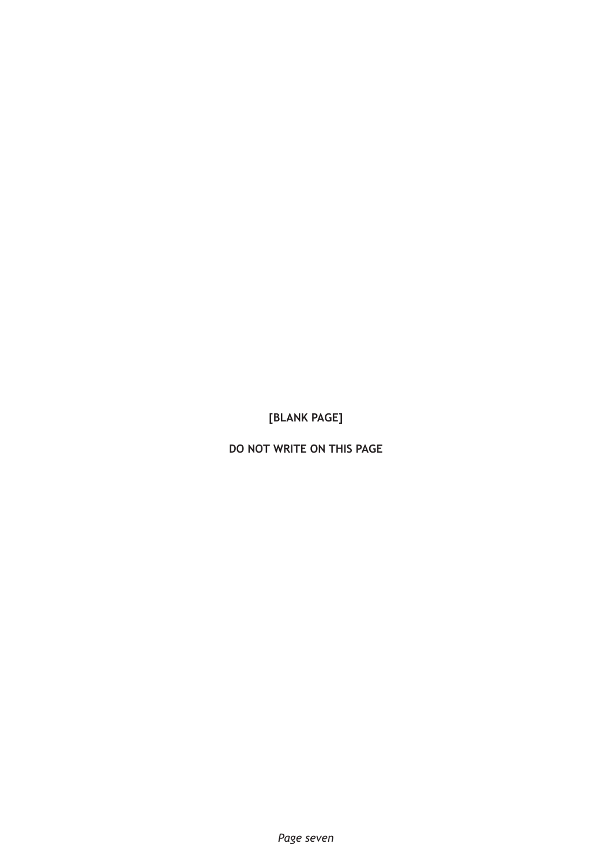**DO NOT WRITE ON THIS PAGE**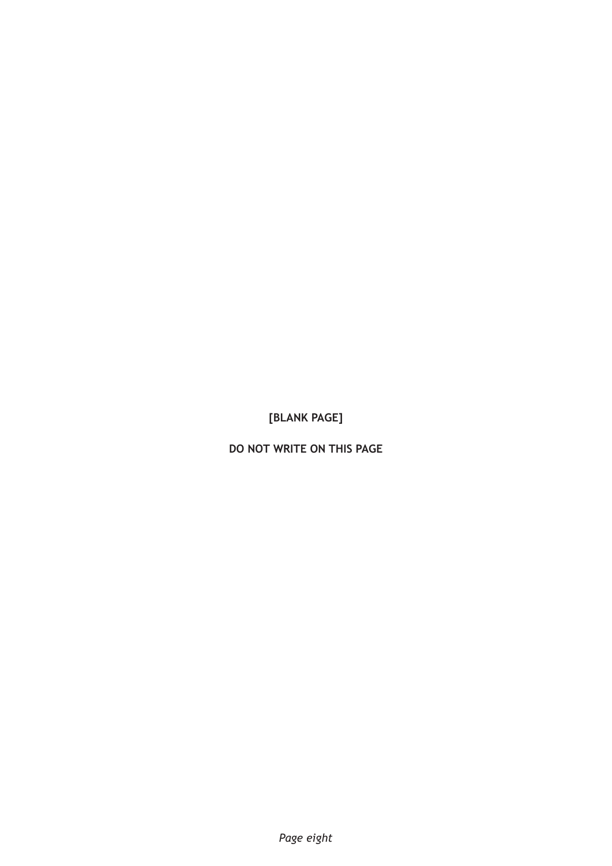**DO NOT WRITE ON THIS PAGE**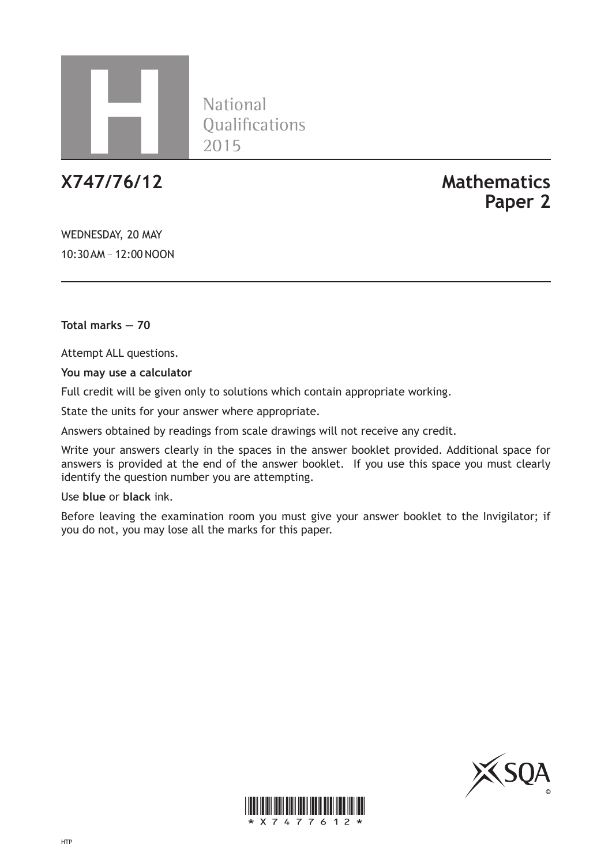

**National** Oualifications 2015

# **X747/76/12 Mathematics Paper 2**

WEDNESDAY, 20 MAY 10:30AM – 12:00 NOON

**Total marks — 70**

Attempt ALL questions.

**You may use a calculator**

Full credit will be given only to solutions which contain appropriate working.

State the units for your answer where appropriate.

Answers obtained by readings from scale drawings will not receive any credit.

Write your answers clearly in the spaces in the answer booklet provided. Additional space for answers is provided at the end of the answer booklet. If you use this space you must clearly identify the question number you are attempting.

Use **blue** or **black** ink.

Before leaving the examination room you must give your answer booklet to the Invigilator; if you do not, you may lose all the marks for this paper.



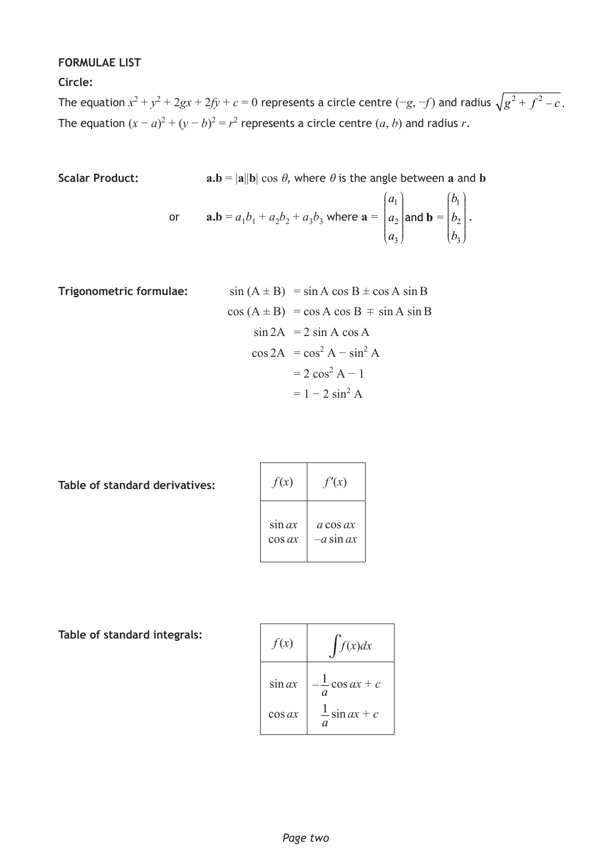## **FORMULAE LIST**

**Circle:**

The equation  $x^2 + y^2 + 2gx + 2fy + c = 0$  represents a circle centre  $(-g, -f)$  and radius  $\sqrt{g^2 + f^2 - c}$  . The equation  $(x - a)^2 + (y - b)^2 = r^2$  represents a circle centre  $(a, b)$  and radius *r*.

Scalar Product: 
$$
\mathbf{a.b} = |\mathbf{a}||\mathbf{b}| \cos \theta
$$
, where  $\theta$  is the angle between **a** and **b**

or 
$$
\mathbf{a}.\mathbf{b} = a_1b_1 + a_2b_2 + a_3b_3
$$
 where  $\mathbf{a} = \begin{pmatrix} a_1 \\ a_2 \\ a_3 \end{pmatrix}$  and  $\mathbf{b} = \begin{pmatrix} b_1 \\ b_2 \\ b_3 \end{pmatrix}$ .

**Trigonometric formulae:**  
\n
$$
\sin (A \pm B) = \sin A \cos B \pm \cos A \sin B
$$
\n
$$
\cos (A \pm B) = \cos A \cos B \mp \sin A \sin B
$$
\n
$$
\sin 2A = 2 \sin A \cos A
$$
\n
$$
\cos 2A = \cos^2 A - \sin^2 A
$$
\n
$$
= 2 \cos^2 A - 1
$$
\n
$$
= 1 - 2 \sin^2 A
$$

**Table of standard derivatives:**

| f(x)      | f'(x)                    |
|-----------|--------------------------|
| sin ax    | a cos ax                 |
| $\cos ax$ | - <i>a</i> sin <i>ax</i> |

**Table of standard integrals:**

| f(x)      | f(x)dx                               |
|-----------|--------------------------------------|
| sin ax    | $\frac{1}{\cos ax} + c$<br>$\alpha$  |
| $\cos ax$ | $\frac{1}{a}$ sin ax + c<br>$\alpha$ |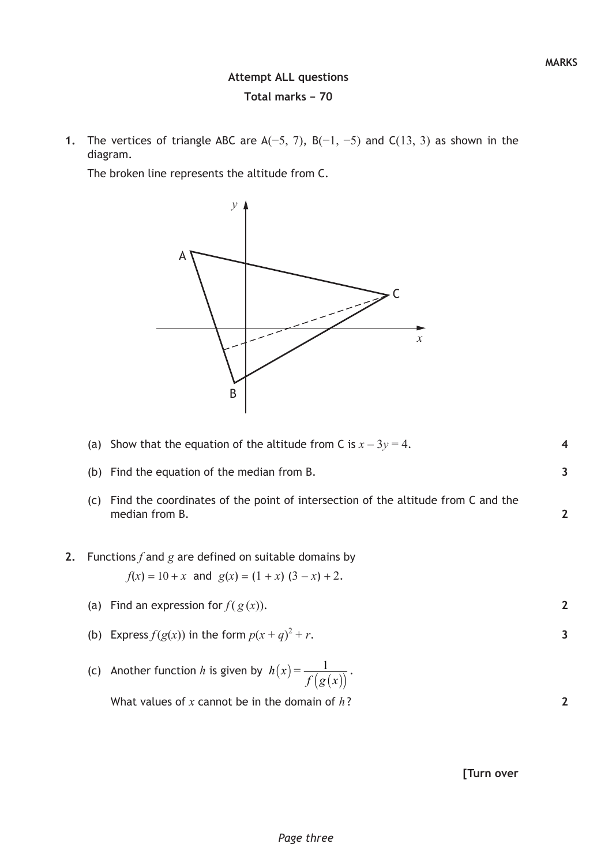# **Attempt ALL questions Total marks – 70**

**1.** The vertices of triangle ABC are A(−5, 7), B(−1, −5) and C(13, 3) as shown in the diagram.

The broken line represents the altitude from C.



(a) Show that the equation of the altitude from C is  $x - 3y = 4$ .

|    | Find the equation of the median from B.<br>(b)                                                            | 3 |
|----|-----------------------------------------------------------------------------------------------------------|---|
|    | Find the coordinates of the point of intersection of the altitude from C and the<br>(C)<br>median from B. |   |
| 2. | Functions f and g are defined on suitable domains by<br>$f(x) = 10 + x$ and $g(x) = (1 + x)(3 - x) + 2$ . |   |
|    | (a) Find an expression for $f(g(x))$ .                                                                    |   |
|    | (b) Express $f(g(x))$ in the form $p(x + q)^2 + r$ .                                                      | 3 |
|    | (c) Another function h is given by $h(x) = \frac{1}{f(g(x))}$ .                                           |   |
|    | What values of x cannot be in the domain of $h$ ?                                                         |   |
|    |                                                                                                           |   |

## **[Turn over**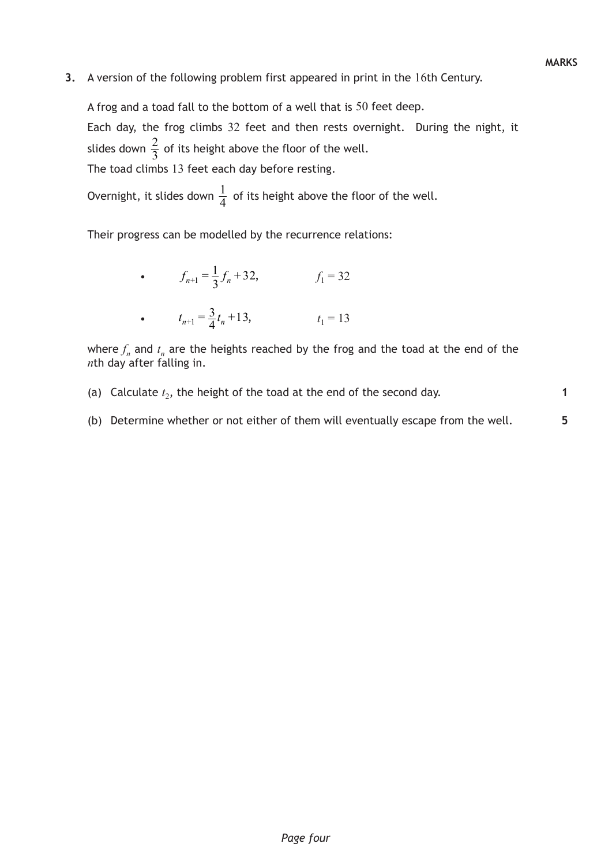**5**

**3.** A version of the following problem first appeared in print in the 16th Century.

A frog and a toad fall to the bottom of a well that is 50 feet deep. Each day, the frog climbs 32 feet and then rests overnight. During the night, it slides down  $\frac{2}{3}$  of its height above the floor of the well. The toad climbs 13 feet each day before resting.

Overnight, it slides down  $\frac{1}{4}$  of its height above the floor of the well.

Their progress can be modelled by the recurrence relations:

• 
$$
f_{n+1} = \frac{1}{3} f_n + 32,
$$
  $f_1 = 32$   
\n•  $t_{n+1} = \frac{3}{4} t_n + 13,$   $t_1 = 13$ 

where  $f_n$  and  $t_n$  are the heights reached by the frog and the toad at the end of the *n*th day after falling in.

- (a) Calculate  $t_2$ , the height of the toad at the end of the second day.
- (b) Determine whether or not either of them will eventually escape from the well.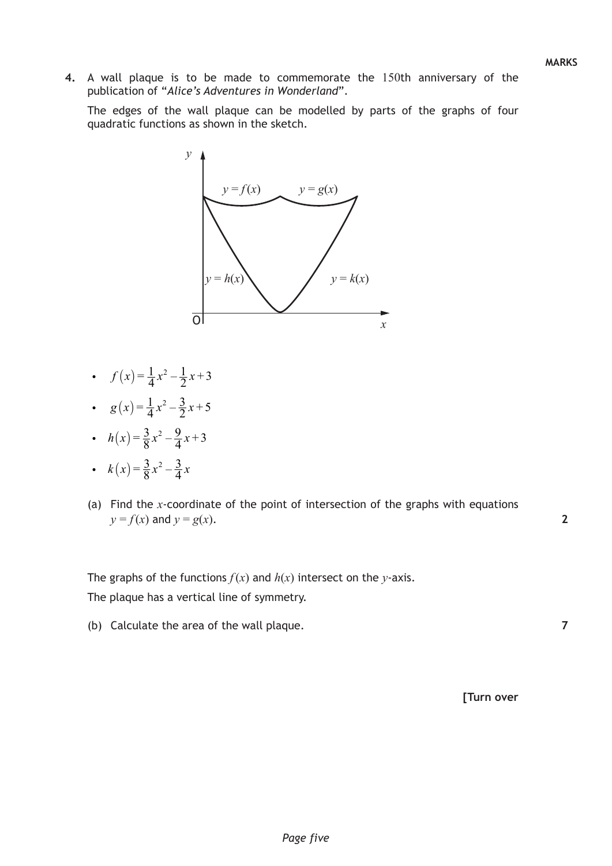**7**

**4.** A wall plaque is to be made to commemorate the 150th anniversary of the publication of "*Alice's Adventures in Wonderland*".

The edges of the wall plaque can be modelled by parts of the graphs of four quadratic functions as shown in the sketch.



- $f(x) = \frac{1}{4}x^2 \frac{1}{2}x + 3$
- $g(x) = \frac{1}{4}x^2 \frac{3}{2}x + 5$
- $h(x) = \frac{3}{8}x^2 \frac{9}{4}x + 3$
- $k(x) = \frac{3}{8}x^2 \frac{3}{4}x$
- (a) Find the *x*-coordinate of the point of intersection of the graphs with equations  $y = f(x)$  and  $y = g(x)$ .

The graphs of the functions  $f(x)$  and  $h(x)$  intersect on the *y*-axis. The plaque has a vertical line of symmetry.

(b) Calculate the area of the wall plaque.

**[Turn over**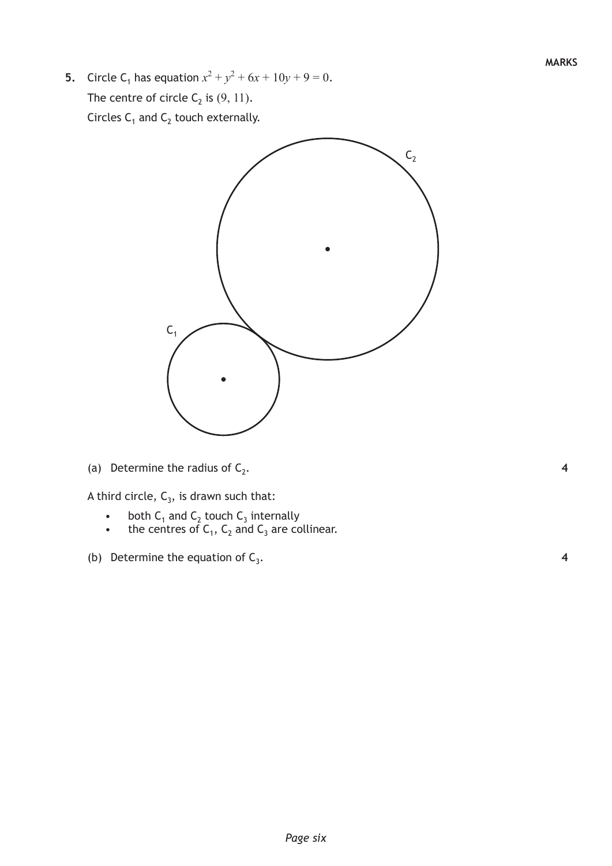**5.** Circle C<sub>1</sub> has equation  $x^2 + y^2 + 6x + 10y + 9 = 0$ . The centre of circle  $C_2$  is  $(9, 11)$ . Circles  $C_1$  and  $C_2$  touch externally.



(a) Determine the radius of  $C_2$ .

A third circle,  $C_3$ , is drawn such that:

- both  $C_1$  and  $C_2$  touch  $C_3$  internally
- the centres of  $C_1$ ,  $C_2$  and  $C_3$  are collinear.
- (b) Determine the equation of  $C_3$ .

**4**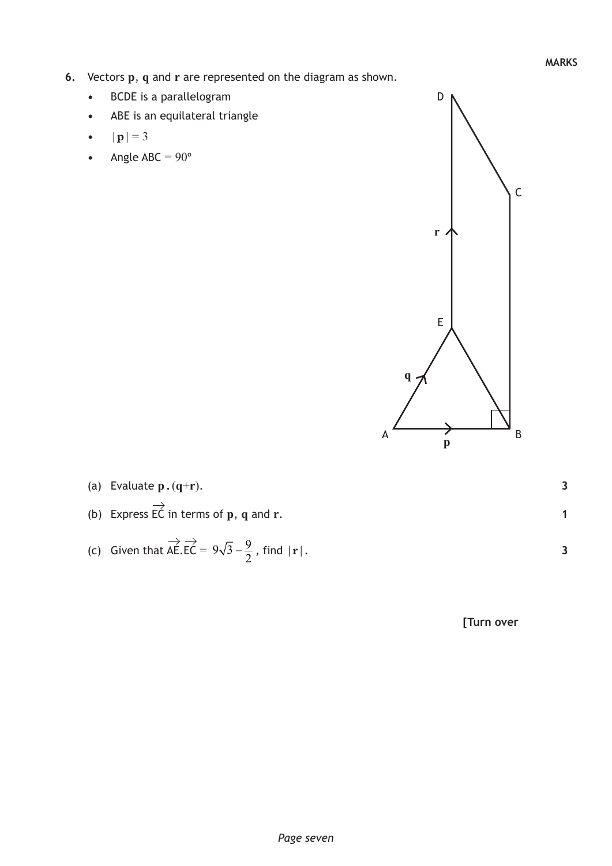- **6.** Vectors **p**, **q** and **r** are represented on the diagram as shown.
	- **•**  BCDE is a parallelogram
	- **•**  ABE is an equilateral triangle
	- $|{\bf p}| = 3$
	- Angle  $ABC = 90^\circ$



| (a) Evaluate $p.(q+r)$ .                                                                                       |  |
|----------------------------------------------------------------------------------------------------------------|--|
| (b) Express $\overrightarrow{EC}$ in terms of <b>p</b> , <b>q</b> and <b>r</b> .                               |  |
| (c) Given that $\overrightarrow{AE}$ $\overrightarrow{EC}$ = $9\sqrt{3} - \frac{9}{2}$ , find $ \mathbf{r} $ . |  |

**[Turn over**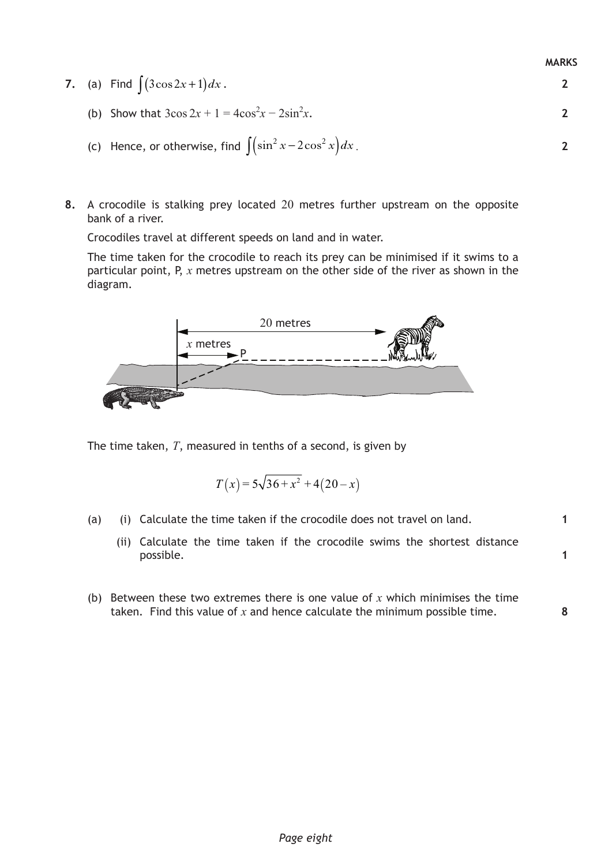|  | $\sum_{i=1}^{n}$                                                 |  |
|--|------------------------------------------------------------------|--|
|  | (b) Show that $3\cos 2x + 1 = 4\cos^2 x - 2\sin^2 x$ .           |  |
|  | (c) Hence, or otherwise, find $\int (\sin^2 x - 2\cos^2 x) dx$ . |  |

**8.** A crocodile is stalking prey located 20 metres further upstream on the opposite bank of a river.

Crocodiles travel at different speeds on land and in water.

**7.** (a) Find  $\int (3\cos 2x + 1) dx$ .

The time taken for the crocodile to reach its prey can be minimised if it swims to a particular point, P, *x* metres upstream on the other side of the river as shown in the diagram.



The time taken, *T*, measured in tenths of a second, is given by

$$
T(x) = 5\sqrt{36 + x^2} + 4(20 - x)
$$

- (a) (i) Calculate the time taken if the crocodile does not travel on land.
	- (ii) Calculate the time taken if the crocodile swims the shortest distance possible.
- (b) Between these two extremes there is one value of *x* which minimises the time taken. Find this value of *x* and hence calculate the minimum possible time.

**MARKS**

**2**

**1**

**1**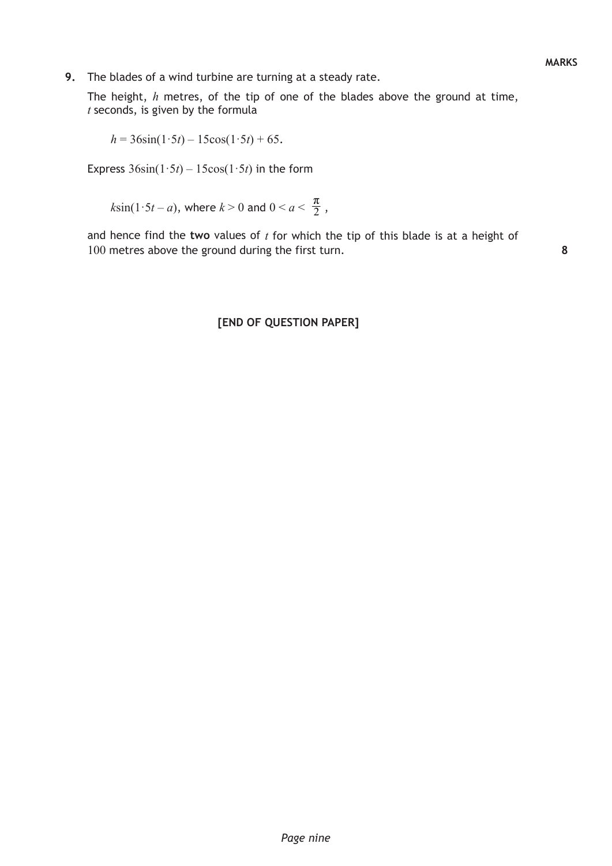The height, *h* metres, of the tip of one of the blades above the ground at time, *t* seconds, is given by the formula

$$
h = 36\sin(1.5t) - 15\cos(1.5t) + 65.
$$

Express  $36\sin(1.5t) - 15\cos(1.5t)$  in the form

 $k\sin(1\cdot 5t - a)$ , where  $k > 0$  and  $0 < a < \frac{\pi}{2}$ ,

and hence find the **two** values of *t* for which the tip of this blade is at a height of 100 metres above the ground during the first turn.

**8**

## **[END OF QUESTION PAPER]**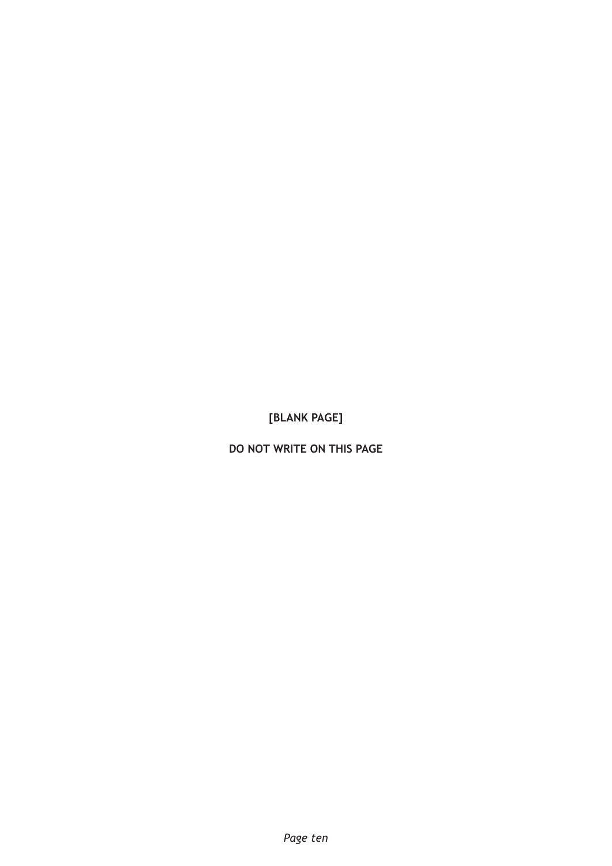**do not write on this page**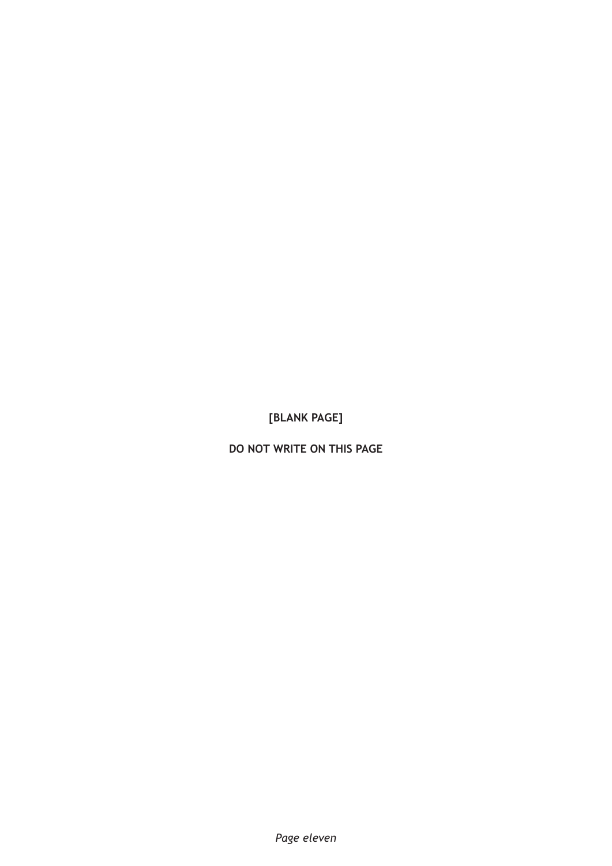**do not write on this page**